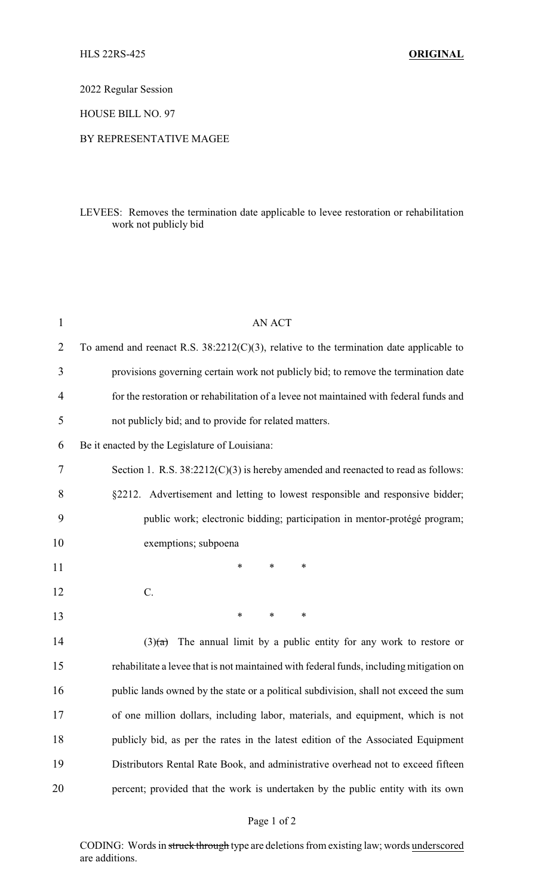2022 Regular Session

HOUSE BILL NO. 97

## BY REPRESENTATIVE MAGEE

## LEVEES: Removes the termination date applicable to levee restoration or rehabilitation work not publicly bid

| $\mathbf{1}$   | <b>AN ACT</b>                                                                              |
|----------------|--------------------------------------------------------------------------------------------|
| $\overline{2}$ | To amend and reenact R.S. $38:2212(C)(3)$ , relative to the termination date applicable to |
| 3              | provisions governing certain work not publicly bid; to remove the termination date         |
| 4              | for the restoration or rehabilitation of a levee not maintained with federal funds and     |
| 5              | not publicly bid; and to provide for related matters.                                      |
| 6              | Be it enacted by the Legislature of Louisiana:                                             |
| 7              | Section 1. R.S. $38:2212(C)(3)$ is hereby amended and reenacted to read as follows:        |
| 8              | §2212. Advertisement and letting to lowest responsible and responsive bidder;              |
| 9              | public work; electronic bidding; participation in mentor-protégé program;                  |
| 10             | exemptions; subpoena                                                                       |
| 11             | *<br>∗<br>∗                                                                                |
| 12             | C.                                                                                         |
| 13             | $\ast$<br>$\ast$<br>∗                                                                      |
| 14             | The annual limit by a public entity for any work to restore or<br>(3)(a)                   |
| 15             | rehabilitate a levee that is not maintained with federal funds, including mitigation on    |
| 16             | public lands owned by the state or a political subdivision, shall not exceed the sum       |
| 17             | of one million dollars, including labor, materials, and equipment, which is not            |
| 18             | publicly bid, as per the rates in the latest edition of the Associated Equipment           |
| 19             | Distributors Rental Rate Book, and administrative overhead not to exceed fifteen           |
| 20             | percent; provided that the work is undertaken by the public entity with its own            |
|                |                                                                                            |

CODING: Words in struck through type are deletions from existing law; words underscored are additions.